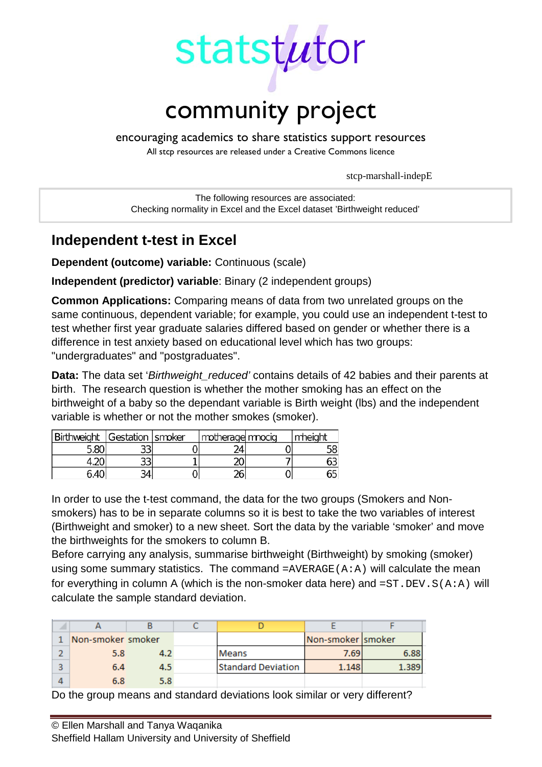

encouraging academics to share statistics support resources

All stcp resources are released under a Creative Commons licence

stcp-marshall-indepE

The following resources are associated: Checking normality in Excel and the Excel dataset 'Birthweight reduced'

# **Independent t-test in Excel**

**Dependent (outcome) variable:** Continuous (scale)

**Independent (predictor) variable**: Binary (2 independent groups)

**Common Applications:** Comparing means of data from two unrelated groups on the same continuous, dependent variable; for example, you could use an independent t-test to test whether first year graduate salaries differed based on gender or whether there is a difference in test anxiety based on educational level which has two groups: "undergraduates" and "postgraduates".

**Data:** The data set '*Birthweight reduced'* contains details of 42 babies and their parents at birth. The research question is whether the mother smoking has an effect on the birthweight of a baby so the dependant variable is Birth weight (lbs) and the independent variable is whether or not the mother smokes (smoker).

| Birthweight Gestation Smoker |    | I motherage mnocig | ' mheight |
|------------------------------|----|--------------------|-----------|
| 5.80                         | ーー |                    |           |
|                              | ںر |                    |           |
| 6.40                         |    | ገር                 |           |

In order to use the t-test command, the data for the two groups (Smokers and Nonsmokers) has to be in separate columns so it is best to take the two variables of interest (Birthweight and smoker) to a new sheet. Sort the data by the variable 'smoker' and move the birthweights for the smokers to column B.

Before carrying any analysis, summarise birthweight (Birthweight) by smoking (smoker) using some summary statistics. The command  $=$ AVERAGE(A:A) will calculate the mean for everything in column A (which is the non-smoker data here) and  $=ST.DEV.S(A:A)$  will calculate the sample standard deviation.

| Non-smoker smoker |     |                           | Non-smoker smoker |      |
|-------------------|-----|---------------------------|-------------------|------|
| 5.8               | ΔЭ  | Means                     | 7.691             | 6.88 |
| 6.4               | 4.5 | <b>Standard Deviation</b> | 1.148             |      |
| 6.8               | 5.8 |                           |                   |      |

Do the group means and standard deviations look similar or very different?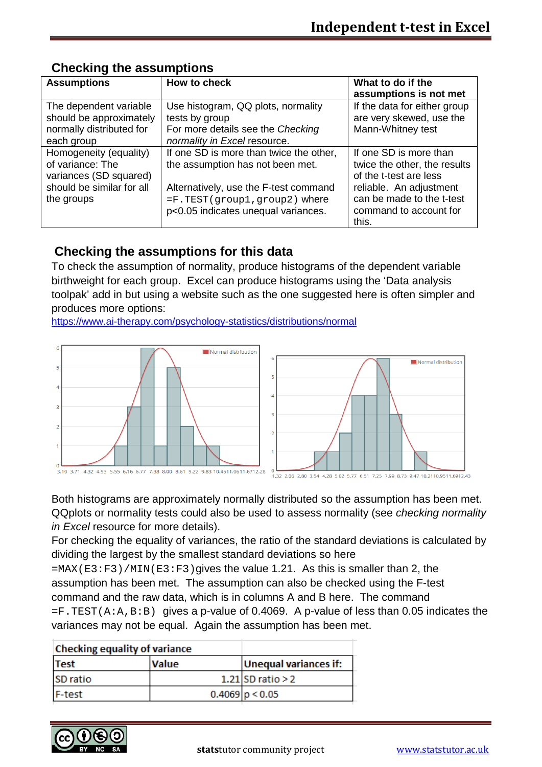| <b>Assumptions</b>                                                                                              | How to check                                                                                                                                                                                | What to do if the<br>assumptions is not met                                                                                                                                 |
|-----------------------------------------------------------------------------------------------------------------|---------------------------------------------------------------------------------------------------------------------------------------------------------------------------------------------|-----------------------------------------------------------------------------------------------------------------------------------------------------------------------------|
| The dependent variable<br>should be approximately<br>normally distributed for<br>each group                     | Use histogram, QQ plots, normality<br>tests by group<br>For more details see the Checking<br>normality in Excel resource.                                                                   | If the data for either group<br>are very skewed, use the<br>Mann-Whitney test                                                                                               |
| Homogeneity (equality)<br>of variance: The<br>variances (SD squared)<br>should be similar for all<br>the groups | If one SD is more than twice the other,<br>the assumption has not been met.<br>Alternatively, use the F-test command<br>=F.TEST(group1,group2) where<br>p<0.05 indicates unequal variances. | If one SD is more than<br>twice the other, the results<br>of the t-test are less<br>reliable. An adjustment<br>can be made to the t-test<br>command to account for<br>this. |

## **Checking the assumptions**

## **Checking the assumptions for this data**

To check the assumption of normality, produce histograms of the dependent variable birthweight for each group. Excel can produce histograms using the 'Data analysis toolpak' add in but using a website such as the one suggested here is often simpler and produces more options:

<https://www.ai-therapy.com/psychology-statistics/distributions/normal>



Both histograms are approximately normally distributed so the assumption has been met. QQplots or normality tests could also be used to assess normality (see *checking normality in Excel* resource for more details).

For checking the equality of variances, the ratio of the standard deviations is calculated by dividing the largest by the smallest standard deviations so here

 $=$ MAX(E3:F3)/MIN(E3:F3)gives the value 1.21. As this is smaller than 2, the assumption has been met. The assumption can also be checked using the F-test command and the raw data, which is in columns A and B here. The command  $=$  F. TEST(A:A, B:B) gives a p-value of 0.4069. A p-value of less than 0.05 indicates the variances may not be equal. Again the assumption has been met.

| <b>Checking equality of variance</b> |              |                              |
|--------------------------------------|--------------|------------------------------|
| <b>Test</b>                          | <b>Value</b> | <b>Unequal variances if:</b> |
| <b>SD</b> ratio                      |              | $1.21$ SD ratio > 2          |
| <b>F-test</b>                        |              | $0.4069$ p < 0.05            |

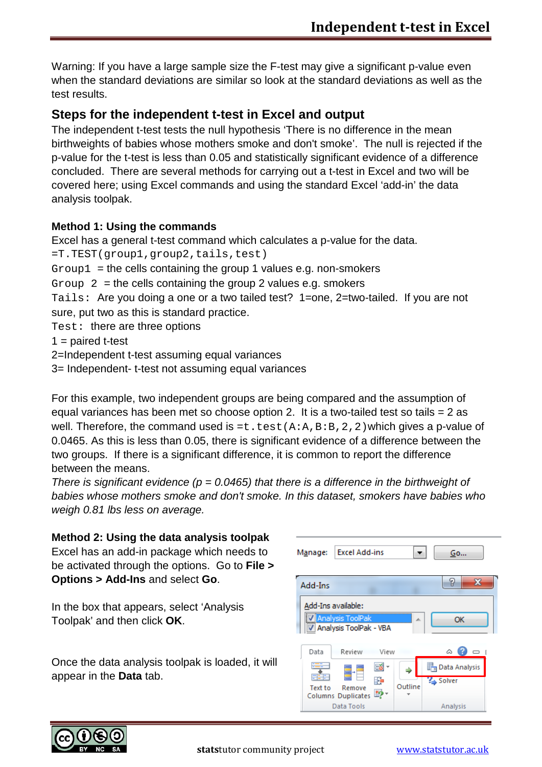Warning: If you have a large sample size the F-test may give a significant p-value even when the standard deviations are similar so look at the standard deviations as well as the test results.

## **Steps for the independent t-test in Excel and output**

The independent t-test tests the null hypothesis 'There is no difference in the mean birthweights of babies whose mothers smoke and don't smoke'. The null is rejected if the p-value for the t-test is less than 0.05 and statistically significant evidence of a difference concluded. There are several methods for carrying out a t-test in Excel and two will be covered here; using Excel commands and using the standard Excel 'add-in' the data analysis toolpak.

### **Method 1: Using the commands**

Excel has a general t-test command which calculates a p-value for the data.

=T.TEST(group1,group2,tails,test)

 $Group1 = the cells containing the group 1 values e.g. non-smokes.$ 

Group  $2 =$  the cells containing the group 2 values e.g. smokers

Tails: Are you doing a one or a two tailed test? 1=one, 2=two-tailed. If you are not sure, put two as this is standard practice.

Test: there are three options

 $1 =$  paired t-test

2=Independent t-test assuming equal variances

3= Independent- t-test not assuming equal variances

For this example, two independent groups are being compared and the assumption of equal variances has been met so choose option 2. It is a two-tailed test so tails = 2 as well. Therefore, the command used is  $=t$ .  $test(A:A,B:B,2,2)$  which gives a p-value of 0.0465. As this is less than 0.05, there is significant evidence of a difference between the two groups. If there is a significant difference, it is common to report the difference between the means.

*There is significant evidence (p = 0.0465) that there is a difference in the birthweight of babies whose mothers smoke and don't smoke. In this dataset, smokers have babies who weigh 0.81 lbs less on average.*